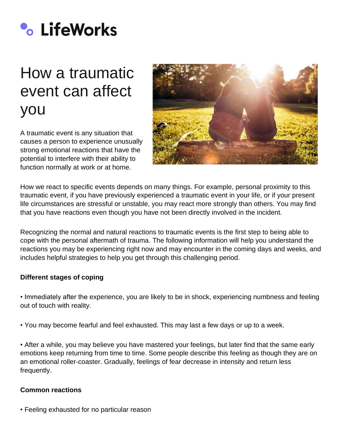# **• LifeWorks**

## How a traumatic event can affect you

A traumatic event is any situation that causes a person to experience unusually strong emotional reactions that have the potential to interfere with their ability to function normally at work or at home.



How we react to specific events depends on many things. For example, personal proximity to this traumatic event, if you have previously experienced a traumatic event in your life, or if your present life circumstances are stressful or unstable, you may react more strongly than others. You may find that you have reactions even though you have not been directly involved in the incident.

Recognizing the normal and natural reactions to traumatic events is the first step to being able to cope with the personal aftermath of trauma. The following information will help you understand the reactions you may be experiencing right now and may encounter in the coming days and weeks, and includes helpful strategies to help you get through this challenging period.

### **Different stages of coping**

• Immediately after the experience, you are likely to be in shock, experiencing numbness and feeling out of touch with reality.

• You may become fearful and feel exhausted. This may last a few days or up to a week.

• After a while, you may believe you have mastered your feelings, but later find that the same early emotions keep returning from time to time. Some people describe this feeling as though they are on an emotional roller-coaster. Gradually, feelings of fear decrease in intensity and return less frequently.

### **Common reactions**

• Feeling exhausted for no particular reason